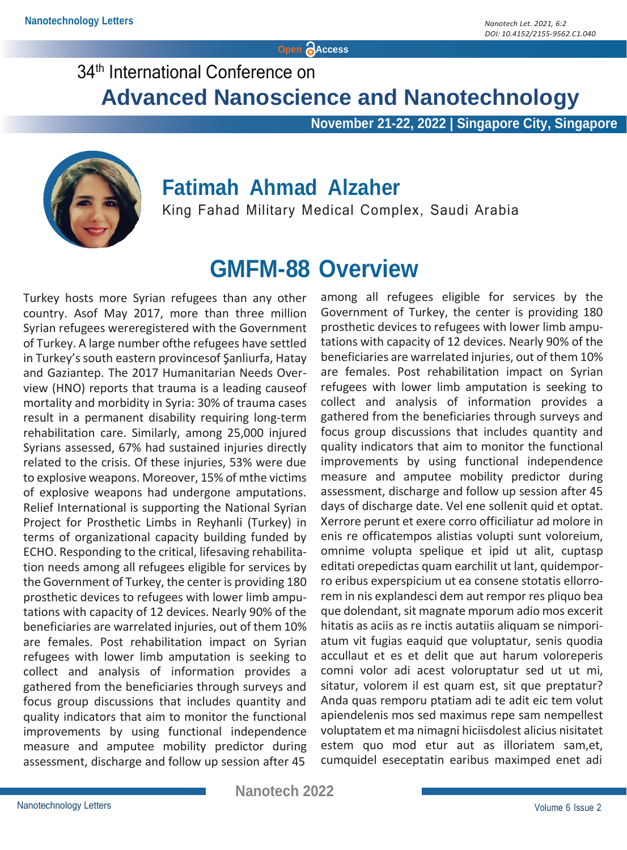**Open Access**

### 34<sup>th</sup> International Conference on

**Advanced Nanoscience and Nanotechnology**

 **November 21-22, 2022 | Singapore City, Singapore**



#### **Fatimah Ahmad Alzaher**

King Fahad Military Medical Complex, Saudi Arabia

### **GMFM-88 Overview**

Turkey hosts more Syrian refugees than any other country. Asof May 2017, more than three million Syrian refugees wereregistered with the Government of Turkey. A large number ofthe refugees have settled in Turkey's south eastern provincesof Şanliurfa, Hatay and Gaziantep. The 2017 Humanitarian Needs Overview (HNO) reports that trauma is a leading causeof mortality and morbidity in Syria: 30% of trauma cases result in a permanent disability requiring long-term rehabilitation care. Similarly, among 25,000 injured Syrians assessed, 67% had sustained injuries directly related to the crisis. Of these injuries, 53% were due to explosive weapons. Moreover, 15% of mthe victims of explosive weapons had undergone amputations. Relief International is supporting the National Syrian Project for Prosthetic Limbs in Reyhanli (Turkey) in terms of organizational capacity building funded by ECHO. Responding to the critical, lifesaving rehabilitation needs among all refugees eligible for services by the Government of Turkey, the center is providing 180 prosthetic devices to refugees with lower limb amputations with capacity of 12 devices. Nearly 90% of the beneficiaries are warrelated injuries, out of them 10% are females. Post rehabilitation impact on Syrian refugees with lower limb amputation is seeking to collect and analysis of information provides a gathered from the beneficiaries through surveys and focus group discussions that includes quantity and quality indicators that aim to monitor the functional improvements by using functional independence measure and amputee mobility predictor during assessment, discharge and follow up session after 45

among all refugees eligible for services by the Government of Turkey, the center is providing 180 prosthetic devices to refugees with lower limb amputations with capacity of 12 devices. Nearly 90% of the beneficiaries are warrelated injuries, out of them 10% are females. Post rehabilitation impact on Syrian refugees with lower limb amputation is seeking to collect and analysis of information provides a gathered from the beneficiaries through surveys and focus group discussions that includes quantity and quality indicators that aim to monitor the functional improvements by using functional independence measure and amputee mobility predictor during assessment, discharge and follow up session after 45 days of discharge date. Vel ene sollenit quid et optat. Xerrore perunt et exere corro officiliatur ad molore in enis re officatempos alistias volupti sunt voloreium, omnime volupta spelique et ipid ut alit, cuptasp editati orepedictas quam earchilit ut lant, quidemporro eribus experspicium ut ea consene stotatis ellorrorem in nis explandesci dem aut rempor res pliquo bea que dolendant, sit magnate mporum adio mos excerit hitatis as aciis as re inctis autatiis aliquam se nimporiatum vit fugias eaquid que voluptatur, senis quodia accullaut et es et delit que aut harum voloreperis comni volor adi acest voloruptatur sed ut ut mi, sitatur, volorem il est quam est, sit que preptatur? Anda quas remporu ptatiam adi te adit eic tem volut apiendelenis mos sed maximus repe sam nempellest voluptatem et ma nimagni hiciisdolest alicius nisitatet estem quo mod etur aut as illoriatem sam,et, cumquidel eseceptatin earibus maximped enet adi

 **Nanotech 2022**